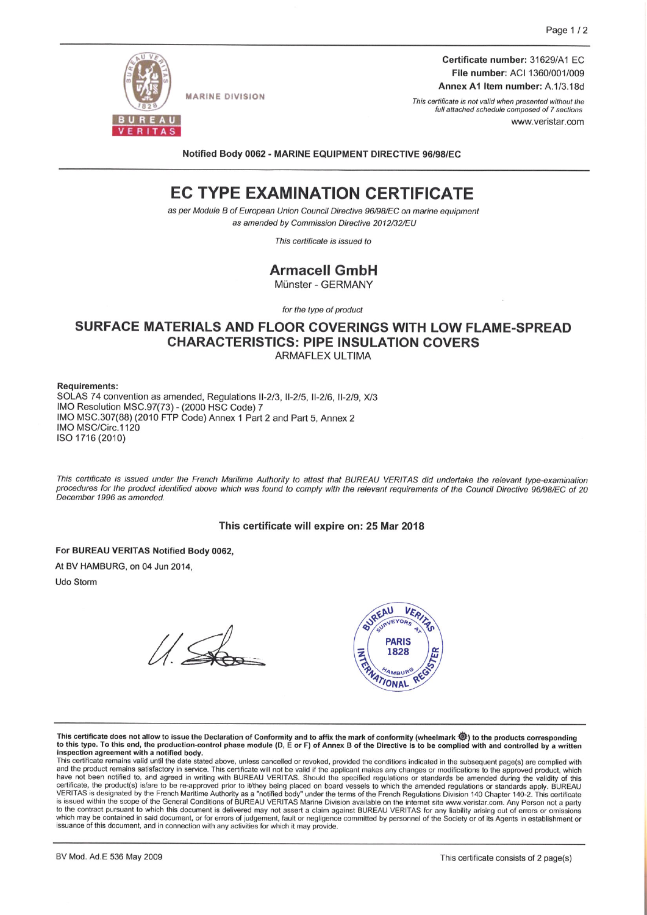

**MARINE DIVISION** 

Certificate number: 31629/A1 EC File number: ACI 1360/001/009 Annex A1 Item number: A.1/3.18d

This certificate is not valid when presented without the full attached schedule composed of 7 sections www.veristar.com

Notified Body 0062 - MARINE EQUIPMENT DIRECTIVE 96/98/EC

# **EC TYPE EXAMINATION CERTIFICATE**

as per Module B of European Union Council Directive 96/98/EC on marine equipment as amended by Commission Directive 2012/32/EU

This certificate is issued to

## **Armacell GmbH**

Münster - GERMANY

for the type of product

### SURFACE MATERIALS AND FLOOR COVERINGS WITH LOW FLAME-SPREAD **CHARACTERISTICS: PIPE INSULATION COVERS ARMAFLEX ULTIMA**

**Requirements:** 

SOLAS 74 convention as amended, Regulations II-2/3, II-2/5, II-2/6, II-2/9, X/3 IMO Resolution MSC.97(73) - (2000 HSC Code) 7 IMO MSC.307(88) (2010 FTP Code) Annex 1 Part 2 and Part 5, Annex 2 IMO MSC/Circ.1120 ISO 1716 (2010)

This certificate is issued under the French Maritime Authority to attest that BUREAU VERITAS did undertake the relevant type-examination procedures for the product identified above which was found to comply with the relevant requirements of the Council Directive 96/98/EC of 20 December 1996 as amended.

#### This certificate will expire on: 25 Mar 2018

For BUREAU VERITAS Notified Body 0062,

At BV HAMBURG, on 04 Jun 2014.

Udo Storm



This certificate does not allow to issue the Declaration of Conformity and to affix the mark of conformity (wheelmark 《》) to the products corresponding to this type. To this end, the production-control phase module (D, E or F) of Annex B of the Directive is to be complied with and controlled by a written inspection agreement with a notified body.

This certificate remains valid until the date stated above, unless cancelled or revoked, provided the conditions indicated in the subsequent page(s) are complied with and the product remains valid until the date stated abo certificate, the product(s) islare to be re-approved prior to it/they being placed on board vessels to which the amended regulations or standards apply. BUREAU VERITAS is designated by the French Maritime Authority as a "n to the contract pursuant to which this document is delivered may not assert a claim against BUREAU VERITAS for any liability arising out of errors or omissions which may be contained in said document, or for errors of judgement, fault or negligence committed by personnel of the Society or of its Agents in establishment or issuance of this document, and in connection with any activities for which it may provide.